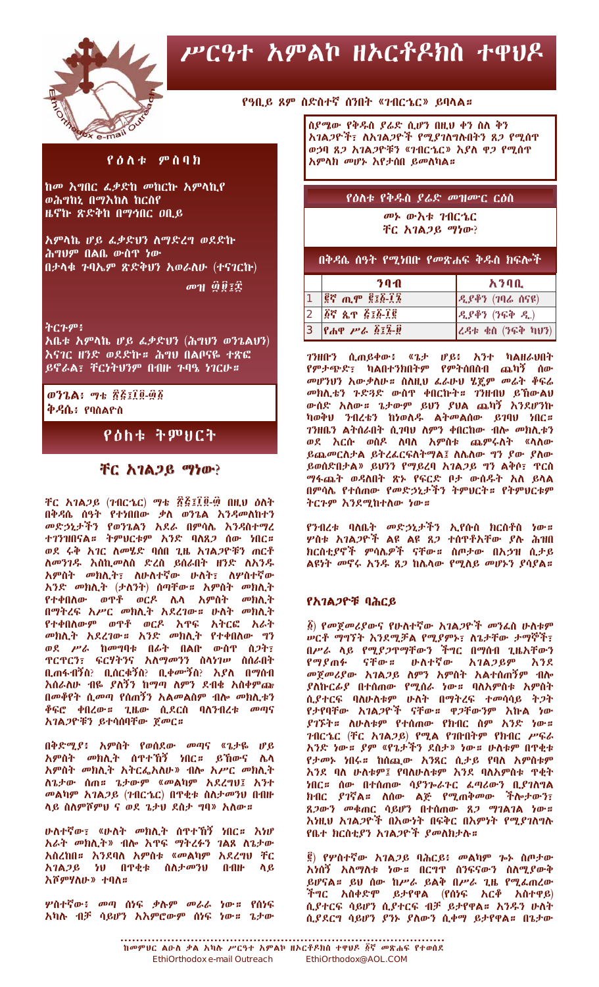

# ሥርዓተ አምልኮ ዘኦርቶዶክስ ተዋህዶ

## የዓቢይ ጾም ስድስተኛ ሰንበት «ገብርኄር» ይባላል።

ስያሜው የቅዱስ ያሬድ ሲሆን በዚህ ቀን ስለ ቅን አገልጋዮች፣ ለአገልጋዮች የሚያገለግሉበትን ጸጋ የሚሰዋ ወኃባ ጸ*ጋ* አገል*ጋ*ዮቹን «ገብርኄር» እያለ ዋ*ጋ* የሚሰዋ አምላክ መሆኑ እየታሰበ ይመለካል።

## የዕለቱ ምስባክ

ከመ እግበር ፌቃድከ መከርኩ አምላኪየ ወሕግከኢ በማእከለ ከርስየ ዜኖኵ ጽድቅከ በማኅበር ዐቢይ

<u>አምላኬ ሆይ ፌቃድህን ስማድረግ ወደድኩ</u> ሕግህም በልቤ ውስዋ ነው በታላቁ ጉባኤም ጽድቅህን አወራለሁ (ተናገርኩ)

சி நடித்தி

## ትርጉም፥

አቤቱ አምላኬ ሆይ ፌቃድህን (ሕግህን ወንጌልህን) እናገር ዘንድ ወደድኩ# ሕግህ በልቦናዬ ተጽፎ ይኖራል፣ ቸርነትህንም በብዙ ጉባዔ ነገርሁ።

 $072$ ል፥ ማቴ ፳፭፤፲፬-፴፩ ቅዳሴ፥ የባስልዮስ

## የዕከቱ ትምህርት

## ቸር አገልጋይ ማነው?

ቸር አገልጋይ (ገብርኄር) ማቴ ፳፭፤፲፬-፴ በዚህ ዕለት በቅዳሴ ሰዓት የተነበበው ቃለ ወንጌል እንዳመለከተን<br>መድኃኒታችን የወንጌልን አደራ በምሳሌ እንዳመለከተን<br>ተገንዝበናል። ትምህርቱም አንድ ባለጸ*ጋ* ሰው ነበር። ወደ ሩቅ አገር ስመሄድ ባሰበ ጊዜ አገልጋዮቹን ጠርቶ ለመንገዱ እስኪመለስ ድረስ ይሰራበት ዘንድ ለአንዱ አምስት መክሊት፣ ስሁስተኛው ሁስት፣ ስሦስተኛው አንድ መክሊት (ታለንት) ሰጣቸው። አምስት መክሊት የተቀበስውም ወዋቶ ወርዶ እዋፍ አትርፎ አራት መክሊት አደረገው። አንድ መክሊት የተቀበለው ግን ወደ ሥራ ከመግባቱ በፊት በልበ ውስዋ ስጋት፣ **ዋርዋርን፣ ፍርሃትንና አስማመንን ስላነገሥ ስሰራበት** ቢጠፋብኝስ? ቢሰርቁኝስ? ቢቀሙኝስ? እያለ በማሰብ እሰራለሁ ብዬ ያለኝን ከማጣ ለምን ደብቁ አስቀምጬ በመቆየት ሲመጣ የሰጠኝን አልመልስም ብሎ መክሊቱን **ቆፍሮ ቀበረው። ጊዜው ሲደርስ ባስንብረቱ መጣና** አገልጋዮቹን ይተሳሰባቸው ጀመር።

በቅድሚያ፥ አምስት የወሰደው መጣና «ጌታዬ ሆይ አምስት መክሊት ሰዋተኸኝ ነበር። ይኸውና ሌላ አምስት መክሊት አትርፌአስሁ» ብሎ አሥር መክሊት ለጌታው ሰጠ። ጌታውም «መልካም አደረግህ፤ አንተ መልካም አገልጋይ (ገብርኄር) በዋቂቱ ስለታመንህ በብዙ ላይ ስለምሾምህ ና ወደ ጌታህ ደስታ ግባ» አለው።

ሁለተኛው፣ «ሁለት መክሊት ሰዋተኸኝ ነበር። እነሆ አራት መክሊት» ብሎ እዋፍ ማትረፉን ገልጸ ስጌታው አስረከበ። እንደባለ አምስቱ «መልካም አደረግህ ቸር  $\mathbf{0}$   $\mathbf{0}$   $\mathbf{H}$   $\mathbf{H}$ አገልጋይ ነህ በዋቂቱ ስለታመንህ  $\Lambda$   $\mathcal{C}$ እሾምሃስሁ» ተባስ።

ሦስተኛው፥ መጣ ሰነፍ ቃሉም መራራ ነው**።** የሰነፍ አካሉ ብቻ ሳይሆን አእምሮውም ሰነፍ ነው። ጌታው

መኑ ውእቱ ገብርኄር ቸር አገልጋይ ማነው?

የዕለቱ የቅዱስ ያሬድ መዝሙር ርዕስ

በቅዳሴ ሰዓት የሚነበቡ የመጽሐፍ ቅዱስ ክፍሎች

|  | 70A                                                                                                                                                                                                                                                     | አንባቢ                                 |
|--|---------------------------------------------------------------------------------------------------------------------------------------------------------------------------------------------------------------------------------------------------------|--------------------------------------|
|  | $\left  \begin{smallmatrix} \hat{g} \hat{\sigma} \\ \hat{g} \hat{\sigma} \end{smallmatrix} \right $ $\left  \begin{smallmatrix} \hat{g} \\ \hat{g} \end{smallmatrix} \right $ $\left  \begin{smallmatrix} \hat{g} \\ \hat{g} \end{smallmatrix} \right $ | ዲያቆን (7ባሬ ሰናዩ)                       |
|  | $2$ $\beta$ ኛ ጲዋ ፭፤፩-፲፪                                                                                                                                                                                                                                 | $R_{\alpha}$ ያቆን (ንፍቅ $R_{\alpha}$ ) |
|  | $3$ <i>የሐዋ ሥራ ፩፤፮-፱</i>                                                                                                                                                                                                                                 | ረዳቱ ቄስ (ንፍቅ ካህን)                     |

ገንዘቡን ሲጠይቀው፥ «ጌታ ሆይ፥ አንተ ካልዘራህበት<br>የምታጭድ፣ ካልበተንክበትም የምትሰበስብ ጨካኝ ሰው<br>መሆንህን-አውቃለሁ። ስለዚህ-ፌራሁህ-ሂጄም-መሬት-ቆፍሬ መክሊቴን ጉድጓድ ውስዋ ቀበርኩት። ገንዘብህ ይኸውልህ ውሰድ አለው። ጌታውም ይህን ያህል ጨካኝ እንደሆንኩ ካወቅህ ንብረቴን ከነወለዱ ልትመልሰው ይገባህ ነበር። ገንዘቤን ልትሰራበት ሲገባህ ስምን ቀበርከው ብሎ መክሊቱን ወደ እርሱ ወስዶ **ለባለ አምስቱ ጨምሩስት «**ላስው ይጨመርስታል ይትረፌርፍስትማል፤ ስሌስው ግን ያው ያስው ይወሰድበታል» ይህንን የማይረባ አገልጋይ ግን ልቅሶ፣ ዋርስ **ማፋጨት ወዳስበት ጽ**ኦ የፍርድ ቦታ ውሰዱት አስ ይላል በምሳሌ የተሰጠው የመድኃኒታችን ትምህርት። የትምህርቱም ትርጉም እንደሚከተለው ነው።

የንብረቱ ባለቤት መድኃኒታችን ኢየሱስ ክርስቶስ ነው።<br>ሦስቱ አገልጋዮች ልዩ ልዩ ጸጋ ተሰዋቶአቸው ያሉ ሕዝበ ክርስቲያኖች ምሳሌዎች ናቸው። ስጦታው በአኃዝ ሲታይ ልዩነት መኖሩ አንዱ ጸጋ ከሌላው የሚለይ መሆኑን ያሳያል።

#### የአገልጋዮቹ ባሕርይ

፩) የመሾመሪያውና የሁስተኛው አገልጋዮች መንፌስ ሁስቱም **ሠርቶ ማግኘት እንደሚቻል የሚያምኑ፣ ስጌታቸው ታማኞች፣** በሥራ ላይ የሚያጋዋማቸውን ችግር በማሰብ ጊዜአቸውን የማያጠፉ ናቸው። ሁስተኛው አገልጋይም እንደ መጀመሪያው አገልጋይ ስምን አምስት አልተሰጠኝም ብሎ *ያ*ለኩር*ራያ* በተሰጠው የሚሰራ ነው**። ባ**ለአምስቱ አምስት , ....<br>ሲያተርፍ ባለሁለቱም ሁለት በማትረፍ ተመሳሳይ ት*ጋ*ት<br>የታየባቸው አገልጋዮች ናቸው<mark>።</mark> ዋጋቸውንም እኩል ነው ያገኙት<mark>። ስ</mark>ሁስቱም የተሰጠው የክብር ስም አንድ ነው። .<br>ገብርኄር (ቸር አገልጋይ) የሚል የገቡበትም የክብር ሥፍራ አንድ ነው። *ያም* «የጌታችን ደስታ» ነው። ሁለቱም በዋቂቱ የታመኑ ነበሩ። ከሰጪው አንጻር ሲታይ የባለ አምስቱም እንደ ባለ ሁለቱም፤ የባለሁለቱም እንደ ባለአምስቱ ዋቂት ለንዳ ብር የነገሩን ደግብለው በአን ገብረው በአንባት ነገር።<br>አበር። ሰው በተሰጠው ሳያንኰራትር ፌጣሪውን ቢያገለግል<br>በብር ያገኛል። ለሰው ልጅ የሚጠቅመው ችሎታውን፣<br>ጸጋውን መቁጠር ሳይሆን በተሰጠው ጸጋ ማገልገል ነው።<br>እነዚህ አገልጋዮች በአውነት በፍቅር በእምነት የሚያገለግሉ የቤተ ክርስቲያን አገልጋዮች ያመለክታሉ።

፪) የሦስተኛው *አገ*ል*ጋ*ይ ባሕርይ፥ መልካም **ሎ ስ**ጦታው <u>አነሰኝ አለማለቱ ነው። በርግዋ ሰንፍናውን ስለሚ</u>ያውቅ ይሆናል። ይህ ሰው ከሥራ ይልቅ በሥራ ጊዜ የሚፌጠረው .<br>ችግር አስቀድሞ ይታየዋል (የሰነፍ አርቶ አስተዋይ)<br>ሲያተርፍ ሳይሆን ሲያተርፍ ብቻ ይታየዋል፡፡ አንዱን ሁለት ሲያደርግ ሳይሆን ያንኑ ያስውን ሲቀማ ይታየዋል። በጌታው

ከመምህር ልዑስ ቃል አካሉ ሥርዓተ አምልኮ ዘኦርቶዶክስ ተዋህዶ ፩ኛ መጽሐፍ የተወሰደ EthiOrthodox e-mail Outreach EthiOrthodox@AOL.COM